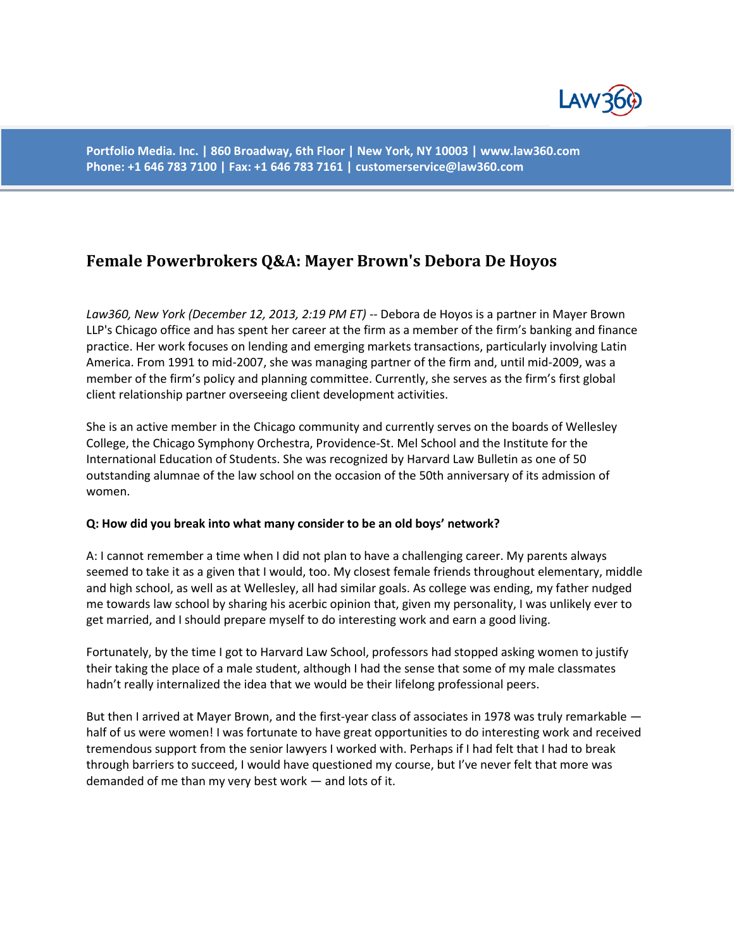

**Portfolio Media. Inc. | 860 Broadway, 6th Floor | New York, NY 10003 | www.law360.com Phone: +1 646 783 7100 | Fax: +1 646 783 7161 | customerservice@law360.com**

# **Female Powerbrokers Q&A: Mayer Brown's Debora De Hoyos**

*Law360, New York (December 12, 2013, 2:19 PM ET)* -- Debora de Hoyos is a partner in Mayer Brown LLP's Chicago office and has spent her career at the firm as a member of the firm's banking and finance practice. Her work focuses on lending and emerging markets transactions, particularly involving Latin America. From 1991 to mid-2007, she was managing partner of the firm and, until mid-2009, was a member of the firm's policy and planning committee. Currently, she serves as the firm's first global client relationship partner overseeing client development activities.

She is an active member in the Chicago community and currently serves on the boards of Wellesley College, the Chicago Symphony Orchestra, Providence-St. Mel School and the Institute for the International Education of Students. She was recognized by Harvard Law Bulletin as one of 50 outstanding alumnae of the law school on the occasion of the 50th anniversary of its admission of women.

#### **Q: How did you break into what many consider to be an old boys' network?**

A: I cannot remember a time when I did not plan to have a challenging career. My parents always seemed to take it as a given that I would, too. My closest female friends throughout elementary, middle and high school, as well as at Wellesley, all had similar goals. As college was ending, my father nudged me towards law school by sharing his acerbic opinion that, given my personality, I was unlikely ever to get married, and I should prepare myself to do interesting work and earn a good living.

Fortunately, by the time I got to Harvard Law School, professors had stopped asking women to justify their taking the place of a male student, although I had the sense that some of my male classmates hadn't really internalized the idea that we would be their lifelong professional peers.

But then I arrived at Mayer Brown, and the first-year class of associates in 1978 was truly remarkable  $$ half of us were women! I was fortunate to have great opportunities to do interesting work and received tremendous support from the senior lawyers I worked with. Perhaps if I had felt that I had to break through barriers to succeed, I would have questioned my course, but I've never felt that more was demanded of me than my very best work — and lots of it.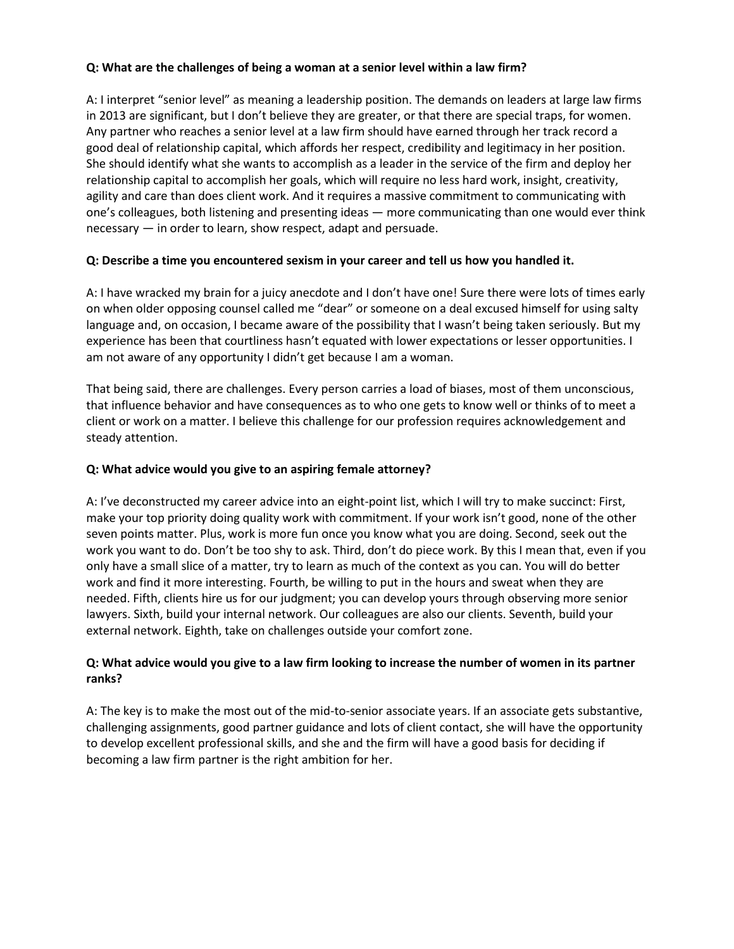## **Q: What are the challenges of being a woman at a senior level within a law firm?**

A: I interpret "senior level" as meaning a leadership position. The demands on leaders at large law firms in 2013 are significant, but I don't believe they are greater, or that there are special traps, for women. Any partner who reaches a senior level at a law firm should have earned through her track record a good deal of relationship capital, which affords her respect, credibility and legitimacy in her position. She should identify what she wants to accomplish as a leader in the service of the firm and deploy her relationship capital to accomplish her goals, which will require no less hard work, insight, creativity, agility and care than does client work. And it requires a massive commitment to communicating with one's colleagues, both listening and presenting ideas — more communicating than one would ever think necessary — in order to learn, show respect, adapt and persuade.

# **Q: Describe a time you encountered sexism in your career and tell us how you handled it.**

A: I have wracked my brain for a juicy anecdote and I don't have one! Sure there were lots of times early on when older opposing counsel called me "dear" or someone on a deal excused himself for using salty language and, on occasion, I became aware of the possibility that I wasn't being taken seriously. But my experience has been that courtliness hasn't equated with lower expectations or lesser opportunities. I am not aware of any opportunity I didn't get because I am a woman.

That being said, there are challenges. Every person carries a load of biases, most of them unconscious, that influence behavior and have consequences as to who one gets to know well or thinks of to meet a client or work on a matter. I believe this challenge for our profession requires acknowledgement and steady attention.

## **Q: What advice would you give to an aspiring female attorney?**

A: I've deconstructed my career advice into an eight-point list, which I will try to make succinct: First, make your top priority doing quality work with commitment. If your work isn't good, none of the other seven points matter. Plus, work is more fun once you know what you are doing. Second, seek out the work you want to do. Don't be too shy to ask. Third, don't do piece work. By this I mean that, even if you only have a small slice of a matter, try to learn as much of the context as you can. You will do better work and find it more interesting. Fourth, be willing to put in the hours and sweat when they are needed. Fifth, clients hire us for our judgment; you can develop yours through observing more senior lawyers. Sixth, build your internal network. Our colleagues are also our clients. Seventh, build your external network. Eighth, take on challenges outside your comfort zone.

# **Q: What advice would you give to a law firm looking to increase the number of women in its partner ranks?**

A: The key is to make the most out of the mid-to-senior associate years. If an associate gets substantive, challenging assignments, good partner guidance and lots of client contact, she will have the opportunity to develop excellent professional skills, and she and the firm will have a good basis for deciding if becoming a law firm partner is the right ambition for her.